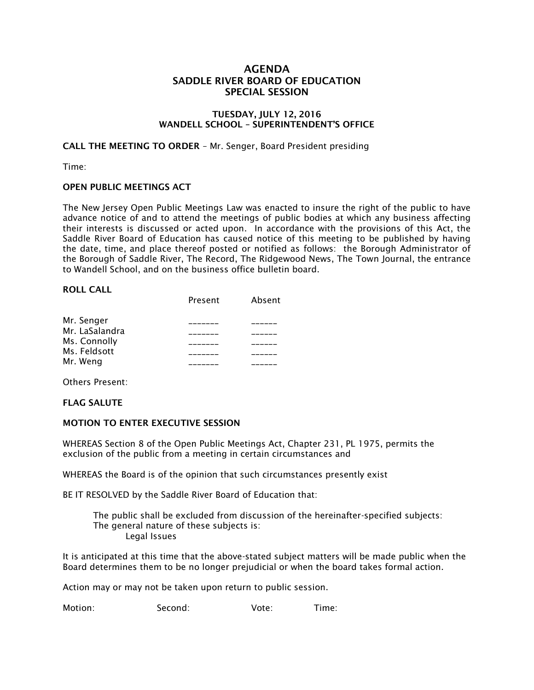# **AGENDA SADDLE RIVER BOARD OF EDUCATION SPECIAL SESSION**

### **TUESDAY, JULY 12, 2016 WANDELL SCHOOL – SUPERINTENDENT'S OFFICE**

**CALL THE MEETING TO ORDER** – Mr. Senger, Board President presiding

Time:

#### **OPEN PUBLIC MEETINGS ACT**

The New Jersey Open Public Meetings Law was enacted to insure the right of the public to have advance notice of and to attend the meetings of public bodies at which any business affecting their interests is discussed or acted upon. In accordance with the provisions of this Act, the Saddle River Board of Education has caused notice of this meeting to be published by having the date, time, and place thereof posted or notified as follows: the Borough Administrator of the Borough of Saddle River, The Record, The Ridgewood News, The Town Journal, the entrance to Wandell School, and on the business office bulletin board.

#### **ROLL CALL**

|                | Present | Absent |
|----------------|---------|--------|
| Mr. Senger     |         |        |
| Mr. LaSalandra |         |        |
| Ms. Connolly   |         |        |
| Ms. Feldsott   |         |        |
| Mr. Weng       |         |        |

Others Present:

#### **FLAG SALUTE**

#### **MOTION TO ENTER EXECUTIVE SESSION**

WHEREAS Section 8 of the Open Public Meetings Act, Chapter 231, PL 1975, permits the exclusion of the public from a meeting in certain circumstances and

WHEREAS the Board is of the opinion that such circumstances presently exist

BE IT RESOLVED by the Saddle River Board of Education that:

 The public shall be excluded from discussion of the hereinafter-specified subjects: The general nature of these subjects is: Legal Issues

It is anticipated at this time that the above-stated subject matters will be made public when the Board determines them to be no longer prejudicial or when the board takes formal action.

Action may or may not be taken upon return to public session.

Motion: Second: Vote: Time: